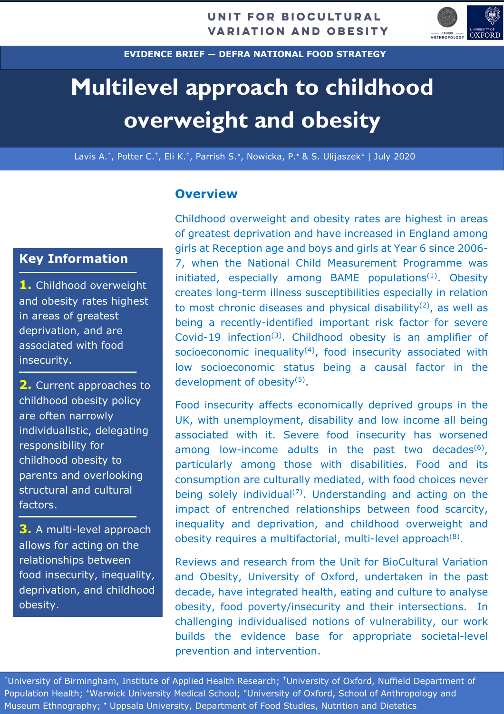

**EVIDENCE BRIEF — DEFRA NATIONAL FOOD STRATEGY**

# **Multilevel approach to childhood overweight and obesity**

Lavis A.<sup>\*</sup>, Potter C.<sup>†</sup>, Eli K.<sup>‡</sup>, Parrish S.<sup>\*</sup>, Nowicka, P.<sup>\*</sup> & S. Ulijaszek<sup>\*</sup> | July 2020

# **Overview**

# **Key Information**

**1.** Childhood overweight and obesity rates highest in areas of greatest deprivation, and are associated with food insecurity.

**2.** Current approaches to childhood obesity policy are often narrowly individualistic, delegating responsibility for childhood obesity to parents and overlooking structural and cultural factors.

**3.** A multi-level approach allows for acting on the relationships between food insecurity, inequality, deprivation, and childhood obesity.

Childhood overweight and obesity rates are highest in areas of greatest deprivation and have increased in England among girls at Reception age and boys and girls at Year 6 since 2006- 7, when the National Child Measurement Programme was initiated, especially among BAME populations $(1)$ . Obesity creates long-term illness susceptibilities especially in relation to most chronic diseases and physical disability<sup>(2)</sup>, as well as being a recently-identified important risk factor for severe Covid-19 infection<sup>(3)</sup>. Childhood obesity is an amplifier of socioeconomic inequality $(4)$ , food insecurity associated with low socioeconomic status being a causal factor in the development of obesity $(5)$ .

Food insecurity affects economically deprived groups in the UK, with unemployment, disability and low income all being associated with it. Severe food insecurity has worsened among low-income adults in the past two decades $(6)$ , particularly among those with disabilities. Food and its consumption are culturally mediated, with food choices never being solely individual $(7)$ . Understanding and acting on the impact of entrenched relationships between food scarcity, inequality and deprivation, and childhood overweight and obesity requires a multifactorial, multi-level approach<sup>(8)</sup>.

Reviews and research from the Unit for BioCultural Variation and Obesity, University of Oxford, undertaken in the past decade, have integrated health, eating and culture to analyse obesity, food poverty/insecurity and their intersections. In challenging individualised notions of vulnerability, our work builds the evidence base for appropriate societal-level prevention and intervention.

\*University of Birmingham, Institute of Applied Health Research; †University of Oxford, Nuffield Department of Population Health; <sup>‡</sup>Warwick University Medical School; <sup>\*</sup>University of Oxford, School of Anthropology and Museum Ethnography; • Uppsala University, Department of Food Studies, Nutrition and Dietetics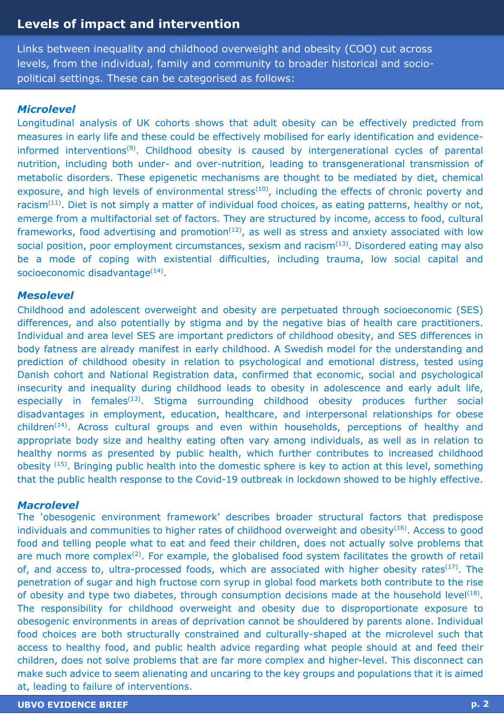## **Levels of impact and intervention**

Links between inequality and childhood overweight and obesity (COO) cut across levels, from the individual, family and community to broader historical and sociopolitical settings. These can be categorised as follows:

### *Microlevel*

Longitudinal analysis of UK cohorts shows that adult obesity can be effectively predicted from measures in early life and these could be effectively mobilised for early identification and evidenceinformed interventions<sup>(9)</sup>. Childhood obesity is caused by intergenerational cycles of parental nutrition, including both under- and over-nutrition, leading to transgenerational transmission of metabolic disorders. These epigenetic mechanisms are thought to be mediated by diet, chemical exposure, and high levels of environmental stress<sup> $(10)$ </sup>, including the effects of chronic poverty and racism<sup> $(11)$ </sup>. Diet is not simply a matter of individual food choices, as eating patterns, healthy or not, emerge from a multifactorial set of factors. They are structured by income, access to food, cultural frameworks, food advertising and promotion<sup> $(12)$ </sup>, as well as stress and anxiety associated with low social position, poor employment circumstances, sexism and racism $(13)$ . Disordered eating may also be a mode of coping with existential difficulties, including trauma, low social capital and socioeconomic disadvantage<sup>(14)</sup>.

#### *Mesolevel*

Childhood and adolescent overweight and obesity are perpetuated through socioeconomic (SES) differences, and also potentially by stigma and by the negative bias of health care practitioners. Individual and area level SES are important predictors of childhood obesity, and SES differences in body fatness are already manifest in early childhood. A Swedish model for the understanding and prediction of childhood obesity in relation to psychological and emotional distress, tested using Danish cohort and National Registration data, confirmed that economic, social and psychological insecurity and inequality during childhood leads to obesity in adolescence and early adult life,  $e$ specially in females<sup>(13)</sup>. Stigma surrounding childhood obesity produces further social disadvantages in employment, education, healthcare, and interpersonal relationships for obese  $children<sup>(14)</sup>$ . Across cultural groups and even within households, perceptions of healthy and appropriate body size and healthy eating often vary among individuals, as well as in relation to healthy norms as presented by public health, which further contributes to increased childhood obesity (15). Bringing public health into the domestic sphere is key to action at this level, something that the public health response to the Covid-19 outbreak in lockdown showed to be highly effective.

#### *Macrolevel*

The 'obesogenic environment framework' describes broader structural factors that predispose individuals and communities to higher rates of childhood overweight and obesity<sup>(16)</sup>. Access to good food and telling people what to eat and feed their children, does not actually solve problems that are much more complex<sup>(2)</sup>. For example, the globalised food system facilitates the growth of retail of, and access to, ultra-processed foods, which are associated with higher obesity rates<sup> $(17)$ </sup>. The penetration of sugar and high fructose corn syrup in global food markets both contribute to the rise of obesity and type two diabetes, through consumption decisions made at the household level<sup>(18)</sup>. The responsibility for childhood overweight and obesity due to disproportionate exposure to obesogenic environments in areas of deprivation cannot be shouldered by parents alone. Individual food choices are both structurally constrained and culturally-shaped at the microlevel such that access to healthy food, and public health advice regarding what people should at and feed their children, does not solve problems that are far more complex and higher-level. This disconnect can make such advice to seem alienating and uncaring to the key groups and populations that it is aimed at, leading to failure of interventions.